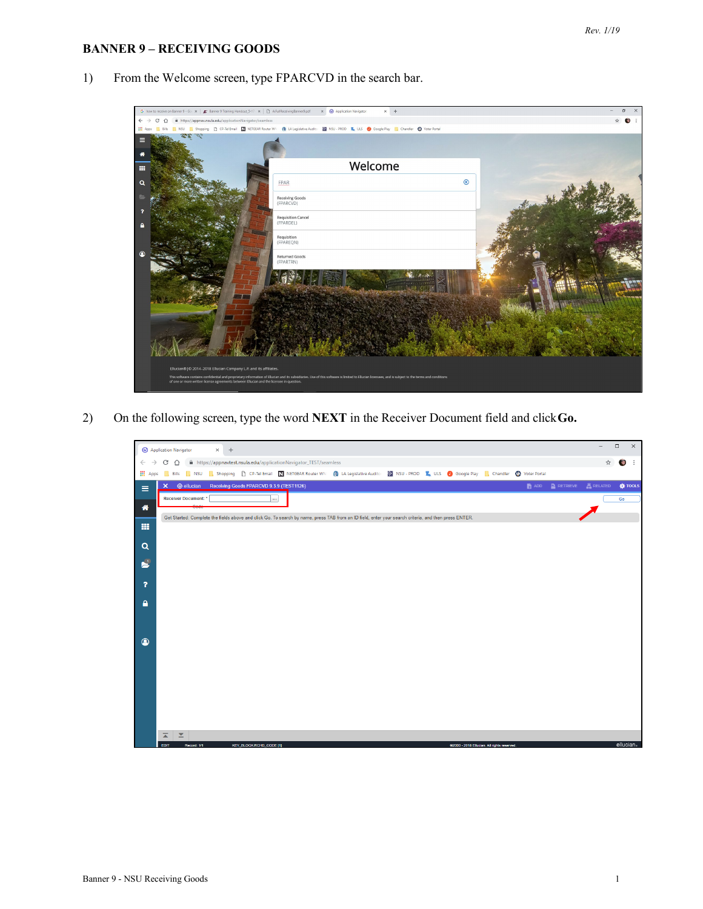## **BANNER 9 – RECEIVING GOODS**

- $\sigma$  $\times$  +  $C$   $\Omega$  $\triangle$  0 NSU - PROD **K**<sub>k</sub> ULS @ Google Play **Q** Chandler @ Voter Portal CP-Tel Email | 2 **O** LA Legislative Audito E Welcome FPAR  $\circledR$  $\alpha$ Receiving Goods<br>(FPARCVD) Requisition Cancel<br>(FPARDEL) Requisition<br>(FPAREQN) Returned Goods<br>(FPARTRN) 836
- 1) From the Welcome screen, type FPARCVD in the search bar.

2) On the following screen, type the word **NEXT** in the Receiver Document field and click**Go.**

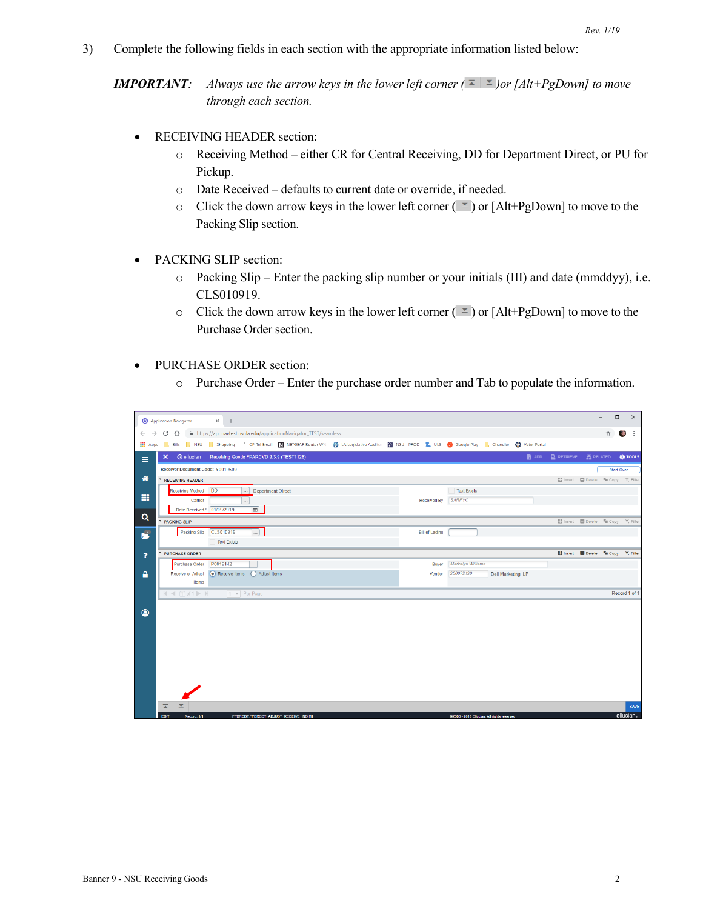3) Complete the following fields in each section with the appropriate information listed below:

*IMPORTANT: Always use the arrow keys in the lower left corner*  $(\bar{\text{F}} | \bar{\text{F}})$ *or [Alt+PgDown] to move through each section.*

- RECEIVING HEADER section:
	- o Receiving Method either CR for Central Receiving, DD for Department Direct, or PU for Pickup.
	- o Date Received defaults to current date or override, if needed.
	- o Click the down arrow keys in the lower left corner  $(\leq)$  or [Alt+PgDown] to move to the Packing Slip section.
- PACKING SLIP section:
	- o Packing Slip Enter the packing slip number or your initials (III) and date (mmddyy), i.e. CLS010919.
	- o Click the down arrow keys in the lower left corner  $(\leq)$  or [Alt+PgDown] to move to the Purchase Order section.
- PURCHASE ORDER section:
	- o Purchase Order Enter the purchase order number and Tab to populate the information.

| C 1 la https://appnavtest.nsula.edu/applicationNavigator_TEST/seamless<br>$\leftarrow$ $\rightarrow$<br><b>Bills</b> MSU <b>C</b> Shopping <b>C</b> CP-Tel Email <b>N</b> NETGEAR Router WN <b>(t)</b> LA Legislative Auditor <b>S</b> NSU - PROD <b>R</b> ULS <b>O</b> Google Play <b>C</b> , Chandler <b>C</b> Voter Portal<br><b>III</b> Apps<br>■ ADD ■ RETRIEVE 晶 RELATED ☆ TOOLS<br>X @ ellucian Receiving Goods FPARCVD 9.3.9 (TEST1126)<br>$\equiv$<br>Receiver Document Code: Y0019509 | ☆ | $\cdot$ :         |
|-------------------------------------------------------------------------------------------------------------------------------------------------------------------------------------------------------------------------------------------------------------------------------------------------------------------------------------------------------------------------------------------------------------------------------------------------------------------------------------------------|---|-------------------|
|                                                                                                                                                                                                                                                                                                                                                                                                                                                                                                 |   |                   |
|                                                                                                                                                                                                                                                                                                                                                                                                                                                                                                 |   |                   |
|                                                                                                                                                                                                                                                                                                                                                                                                                                                                                                 |   |                   |
|                                                                                                                                                                                                                                                                                                                                                                                                                                                                                                 |   | <b>Start Over</b> |
| 俗<br>El Insert <b>Delete Fu</b> Copy <b>Y</b> , Filter<br><b>RECEIVING HEADER</b>                                                                                                                                                                                                                                                                                                                                                                                                               |   |                   |
| <b>DD</b><br>Receiving Method<br>Department Direct<br><b>Text Exists</b><br>$\cdots$                                                                                                                                                                                                                                                                                                                                                                                                            |   |                   |
| <b>HE</b><br>Received By SARPYC<br>Carrier                                                                                                                                                                                                                                                                                                                                                                                                                                                      |   |                   |
| $\blacksquare$<br>Date Received * 01/09/2019                                                                                                                                                                                                                                                                                                                                                                                                                                                    |   |                   |
| $\alpha$<br><b>El Insert Collecte Fu Copy   Y. Filter</b><br><b>PACKING SLIP</b>                                                                                                                                                                                                                                                                                                                                                                                                                |   |                   |
| CLS010919<br>$\mathbf{r}$<br>Packing Slip<br>$\vert  \vert$<br><b>Bill of Lading</b>                                                                                                                                                                                                                                                                                                                                                                                                            |   |                   |
| <b>Text Exists</b>                                                                                                                                                                                                                                                                                                                                                                                                                                                                              |   |                   |
| □ Insert ■ Delete 『■ Copy   マ, Filter<br><b>PURCHASE ORDER</b><br>$\overline{ }$                                                                                                                                                                                                                                                                                                                                                                                                                |   |                   |
| P0019142<br><b>Markalyn Williams</b><br>Purchase Order<br>Buyer<br>$\cdots$                                                                                                                                                                                                                                                                                                                                                                                                                     |   |                   |
| C Receive Items<br>$\mathbf{A}$<br>Receive or Adjust<br>Adjust Items<br>200072130<br>Dell Marketing LP<br>Vendor<br>Items                                                                                                                                                                                                                                                                                                                                                                       |   |                   |
|                                                                                                                                                                                                                                                                                                                                                                                                                                                                                                 |   | Record 1 of 1     |
|                                                                                                                                                                                                                                                                                                                                                                                                                                                                                                 |   |                   |
| $\circledcirc$                                                                                                                                                                                                                                                                                                                                                                                                                                                                                  |   |                   |
|                                                                                                                                                                                                                                                                                                                                                                                                                                                                                                 |   |                   |
|                                                                                                                                                                                                                                                                                                                                                                                                                                                                                                 |   |                   |
|                                                                                                                                                                                                                                                                                                                                                                                                                                                                                                 |   |                   |
|                                                                                                                                                                                                                                                                                                                                                                                                                                                                                                 |   |                   |
|                                                                                                                                                                                                                                                                                                                                                                                                                                                                                                 |   |                   |
|                                                                                                                                                                                                                                                                                                                                                                                                                                                                                                 |   |                   |
|                                                                                                                                                                                                                                                                                                                                                                                                                                                                                                 |   |                   |
|                                                                                                                                                                                                                                                                                                                                                                                                                                                                                                 |   |                   |
| $\overline{\blacktriangle}$<br>≍<br>EDIT<br>Record: 1/1<br>FPBRCDT.FPBRCDT_ADJUST_RECEIVE_IND [1]<br>@2000 - 2018 Ellucian. All rights reserved.                                                                                                                                                                                                                                                                                                                                                |   | SAVE<br>ellucian  |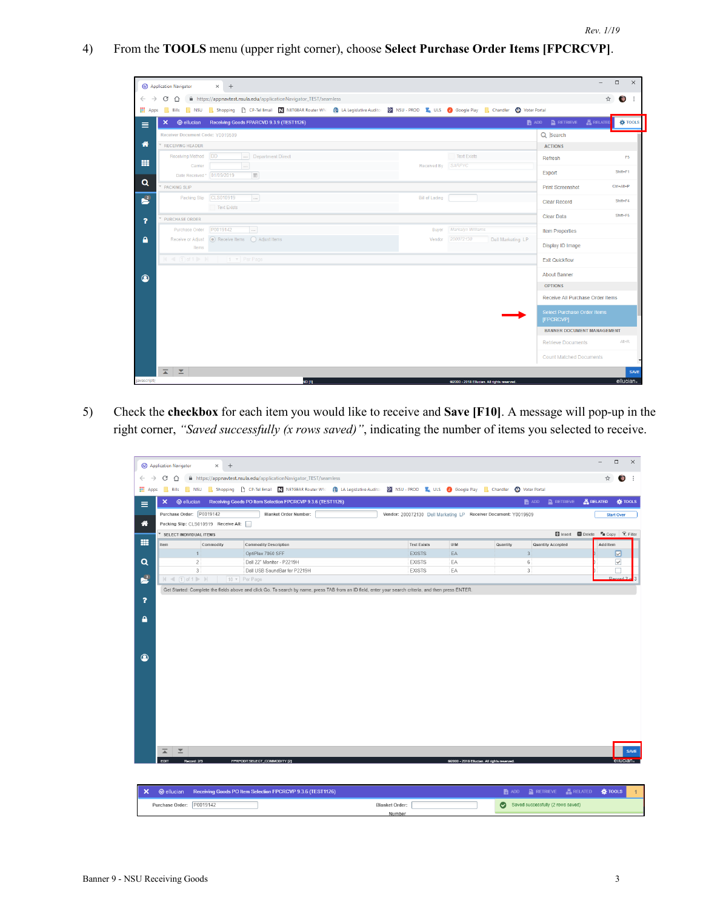4) From the **TOOLS** menu (upper right corner), choose **Select Purchase Order Items [FPCRCVP]**.

|                               | <sup>4</sup> Application Navigator |                     | $+$<br>$\times$                                      |                   |                                                                      |                                                                                                                                                                      |                    |                                             |                                                 |                  | $\Box$         | $\times$    |
|-------------------------------|------------------------------------|---------------------|------------------------------------------------------|-------------------|----------------------------------------------------------------------|----------------------------------------------------------------------------------------------------------------------------------------------------------------------|--------------------|---------------------------------------------|-------------------------------------------------|------------------|----------------|-------------|
| $\rightarrow$<br>$\leftarrow$ | C<br>$\hat{ }$                     |                     |                                                      |                   | film https://appnavtest.nsula.edu/applicationNavigator_TEST/seamless |                                                                                                                                                                      |                    |                                             |                                                 | $\frac{1}{2}$    | $\bullet$      |             |
| <b>III</b> Apps               |                                    |                     |                                                      |                   |                                                                      | Bills NSU Shopping <sup>N</sup> CP-Tel Email <b>N</b> NETGEAR Router WN (N LA Legislative Audito: N NSU - PROD <b>K</b> ULS O Google Play M, Chandler @ Voter Portal |                    |                                             |                                                 |                  |                |             |
| Ξ                             | $\mathsf{x}$                       |                     | @ ellucian Receiving Goods FPARCVD 9.3.9 (TEST1126)  |                   |                                                                      |                                                                                                                                                                      |                    |                                             | $\Box$ add $\Box$ retrieve                      | <b>晶 RELATED</b> | <b>W</b> TOOLS |             |
|                               |                                    |                     | Receiver Document Code: Y0019509                     |                   |                                                                      |                                                                                                                                                                      |                    |                                             | Q Search                                        |                  |                |             |
| 俗                             | <b>RECEIVING HEADER</b>            |                     |                                                      |                   |                                                                      |                                                                                                                                                                      |                    |                                             | <b>ACTIONS</b>                                  |                  |                |             |
| m                             |                                    | Receiving Method DD |                                                      | Department Direct |                                                                      |                                                                                                                                                                      | Text Exists        |                                             | Refresh                                         |                  | F <sub>5</sub> |             |
|                               |                                    | Carrier             | $\cdots$                                             |                   |                                                                      |                                                                                                                                                                      | Received By SARPYC |                                             | Export                                          |                  | Shift+F1       |             |
| Q                             |                                    |                     | Date Received * 01/09/2019                           | m                 |                                                                      |                                                                                                                                                                      |                    |                                             |                                                 |                  |                |             |
|                               | <b>PACKING SLIP</b>                |                     |                                                      |                   |                                                                      |                                                                                                                                                                      |                    |                                             | <b>Print Screenshot</b>                         |                  | Ctrl+Alt+P     |             |
| $\mathbf{r}^2$                |                                    | Packing Slip        | CLS010919                                            | $\cdots$          |                                                                      | <b>Bill of Lading</b>                                                                                                                                                |                    |                                             | <b>Clear Record</b>                             |                  | Shift+F4       |             |
|                               |                                    |                     | <b>Text Exists</b>                                   |                   |                                                                      |                                                                                                                                                                      |                    |                                             | <b>Clear Data</b>                               |                  | Shift+F5       |             |
| $\overline{\mathbf{r}}$       | <b>PURCHASE ORDER</b>              | Purchase Order      | P0019142                                             | $\ldots$          |                                                                      | Buver                                                                                                                                                                | Markalyn Williams  |                                             |                                                 |                  |                |             |
| А                             |                                    |                     | Receive or Adjust (a) Receive Items (C) Adjust Items |                   |                                                                      | Vendor                                                                                                                                                               | 200072130          | Dell Marketing LP                           | <b>Item Properties</b>                          |                  |                |             |
|                               |                                    | Items               |                                                      |                   |                                                                      |                                                                                                                                                                      |                    |                                             | Display ID Image                                |                  |                |             |
|                               |                                    |                     | $\vert$ (4 1 of 1 $\vert$ ) 1 v Per Page             |                   |                                                                      |                                                                                                                                                                      |                    |                                             | <b>Exit Quickflow</b>                           |                  |                |             |
| $\circledcirc$                |                                    |                     |                                                      |                   |                                                                      |                                                                                                                                                                      |                    |                                             | <b>About Banner</b>                             |                  |                |             |
|                               |                                    |                     |                                                      |                   |                                                                      |                                                                                                                                                                      |                    |                                             | <b>OPTIONS</b>                                  |                  |                |             |
|                               |                                    |                     |                                                      |                   |                                                                      |                                                                                                                                                                      |                    |                                             | Receive All Purchase Order Items                |                  |                |             |
|                               |                                    |                     |                                                      |                   |                                                                      |                                                                                                                                                                      |                    |                                             | <b>Select Purchase Order Items</b><br>[FPCRCVP] |                  |                |             |
|                               |                                    |                     |                                                      |                   |                                                                      |                                                                                                                                                                      |                    |                                             | <b>BANNER DOCUMENT MANAGEMENT</b>               |                  |                |             |
|                               |                                    |                     |                                                      |                   |                                                                      |                                                                                                                                                                      |                    |                                             | <b>Retrieve Documents</b>                       |                  | Alt+R          |             |
|                               |                                    |                     |                                                      |                   |                                                                      |                                                                                                                                                                      |                    |                                             | <b>Count Matched Documents</b>                  |                  |                |             |
|                               | $\overline{2}$ $\overline{2}$      |                     |                                                      |                   |                                                                      |                                                                                                                                                                      |                    |                                             |                                                 |                  |                | <b>SAVE</b> |
| javascript;                   |                                    |                     |                                                      |                   | ND [1]                                                               |                                                                                                                                                                      |                    | @2000 - 2018 Ellucian. All rights reserved. |                                                 |                  | ellucian.      |             |

5) Check the **checkbox** for each item you would like to receive and **Save [F10]**. A message will pop-up in the right corner, *"Saved successfully (x rows saved)"*, indicating the number of items you selected to receive.

|                         | <sup>4</sup> Application Navigator                      | $^{+}$<br>$\times$                   |                                                                                                                                                       |                                                                 |                                             |          |                                    | $\Box$<br>$\times$<br>$\overline{\phantom{0}}$   |
|-------------------------|---------------------------------------------------------|--------------------------------------|-------------------------------------------------------------------------------------------------------------------------------------------------------|-----------------------------------------------------------------|---------------------------------------------|----------|------------------------------------|--------------------------------------------------|
| $\rightarrow$           | C<br>$\hat{ }$                                          |                                      | filmttps://appnavtest.nsula.edu/applicationNavigator_TEST/seamless                                                                                    |                                                                 |                                             |          |                                    | ☆<br>G<br>÷                                      |
| <b>III</b> Apps         |                                                         |                                      | Bills NSU Shopping h CP-Tel Email N NETGEAR Router WN 10 LA Legislative Audito N NSU - PROD TE ULS O Google Play TRI Chandler CO Voter Portal         |                                                                 |                                             |          |                                    |                                                  |
| $\equiv$                | ×<br><b>@</b> ellucian                                  |                                      | Receiving Goods PO Item Selection FPCRCVP 9.3.6 (TEST1126)                                                                                            |                                                                 |                                             |          | $R$ RETRIEVE<br>$\blacksquare$ ADD | <b>ARELATED</b><br><b>KE</b> TOOLS               |
|                         | Purchase Order: P0019142                                |                                      | Blanket Order Number:                                                                                                                                 | Vendor: 200072130 Dell Marketing LP Receiver Document: Y0019509 |                                             |          |                                    | <b>Start Over</b>                                |
| 眷                       |                                                         | Packing Slip: CLS010919 Receive All: |                                                                                                                                                       |                                                                 |                                             |          |                                    |                                                  |
|                         | * SELECT INDIVIDUAL ITEMS                               |                                      |                                                                                                                                                       |                                                                 |                                             |          |                                    | Insert Delete Tu Copy Y, Filter                  |
| 噩                       | Item                                                    | Commodity                            | <b>Commodity Description</b>                                                                                                                          | <b>Text Exists</b>                                              | U/M                                         | Quantity | <b>Quantity Accepted</b>           | Add Item                                         |
|                         |                                                         | 1                                    | OptiPlex 7060 SFF                                                                                                                                     | <b>EXISTS</b>                                                   | EA                                          |          | $\overline{\mathbf{3}}$            | ☑                                                |
| $\alpha$                |                                                         | 2                                    | Dell 22" Monitor - P2219H                                                                                                                             | <b>EXISTS</b>                                                   | EA                                          |          | 6                                  | ☑                                                |
|                         |                                                         | $\overline{\mathbf{3}}$              | Dell USB SoundBar for P2219H                                                                                                                          | <b>EXISTS</b>                                                   | EA                                          |          | $\overline{\mathbf{3}}$            |                                                  |
| P.                      | $ $ $\le$ $ $ $\cap$ of 1 $\ge$ $ $                     |                                      | 10 v Per Page                                                                                                                                         |                                                                 |                                             |          |                                    | Record 2                                         |
|                         |                                                         |                                      | Get Started: Complete the fields above and click Go. To search by name, press TAB from an ID field, enter your search criteria, and then press ENTER. |                                                                 |                                             |          |                                    |                                                  |
| $\overline{\mathbf{r}}$ |                                                         |                                      |                                                                                                                                                       |                                                                 |                                             |          |                                    |                                                  |
|                         |                                                         |                                      |                                                                                                                                                       |                                                                 |                                             |          |                                    |                                                  |
| А                       |                                                         |                                      |                                                                                                                                                       |                                                                 |                                             |          |                                    |                                                  |
|                         |                                                         |                                      |                                                                                                                                                       |                                                                 |                                             |          |                                    |                                                  |
|                         |                                                         |                                      |                                                                                                                                                       |                                                                 |                                             |          |                                    |                                                  |
|                         |                                                         |                                      |                                                                                                                                                       |                                                                 |                                             |          |                                    |                                                  |
|                         |                                                         |                                      |                                                                                                                                                       |                                                                 |                                             |          |                                    |                                                  |
| $\circledcirc$          |                                                         |                                      |                                                                                                                                                       |                                                                 |                                             |          |                                    |                                                  |
|                         |                                                         |                                      |                                                                                                                                                       |                                                                 |                                             |          |                                    |                                                  |
|                         |                                                         |                                      |                                                                                                                                                       |                                                                 |                                             |          |                                    |                                                  |
|                         |                                                         |                                      |                                                                                                                                                       |                                                                 |                                             |          |                                    |                                                  |
|                         |                                                         |                                      |                                                                                                                                                       |                                                                 |                                             |          |                                    |                                                  |
|                         |                                                         |                                      |                                                                                                                                                       |                                                                 |                                             |          |                                    |                                                  |
|                         |                                                         |                                      |                                                                                                                                                       |                                                                 |                                             |          |                                    |                                                  |
|                         |                                                         |                                      |                                                                                                                                                       |                                                                 |                                             |          |                                    |                                                  |
|                         |                                                         |                                      |                                                                                                                                                       |                                                                 |                                             |          |                                    |                                                  |
|                         |                                                         |                                      |                                                                                                                                                       |                                                                 |                                             |          |                                    |                                                  |
|                         | $\overline{\blacktriangle}$<br>$\overline{\phantom{a}}$ |                                      |                                                                                                                                                       |                                                                 |                                             |          |                                    | SAVE                                             |
|                         | <b>EDIT</b>                                             | Record: 2/3                          | FPRPODT.SELECT_COMMODITY [2]                                                                                                                          |                                                                 | @2000 - 2018 Ellucian. All rights reserved. |          |                                    | ellucian <sub>s</sub>                            |
|                         |                                                         |                                      |                                                                                                                                                       |                                                                 |                                             |          |                                    |                                                  |
|                         |                                                         |                                      |                                                                                                                                                       |                                                                 |                                             |          |                                    |                                                  |
|                         |                                                         |                                      | M @ ellucian Receiving Coode PO Hom Selection EDCDCVD 9.3 & (TEST1126)                                                                                |                                                                 |                                             |          |                                    | <b>B</b> ann B DETDIEVE <b>E DELATED K TOOLS</b> |

|                          | X @ ellucian Receiving Goods PO Item Selection FPCRCVP 9.3.6 (TEST1126) |  | <b>ADD ADD P</b> RETRIEVE <b>A</b> RELATED <b>A</b> TOOLS |  |  |
|--------------------------|-------------------------------------------------------------------------|--|-----------------------------------------------------------|--|--|
| Purchase Order: P0019142 | <b>Blanket Order:</b>                                                   |  | Saved successfully (2 rows saved)                         |  |  |
|                          | Number                                                                  |  |                                                           |  |  |